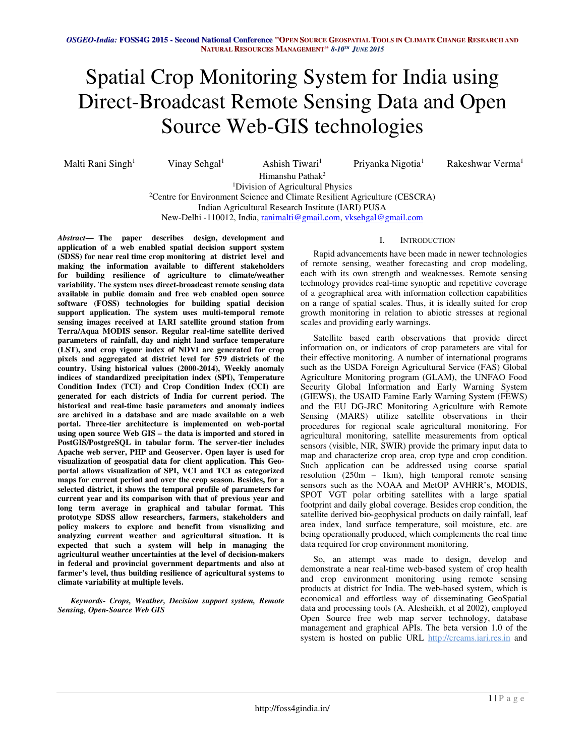# Spatial Crop Monitoring System for India using Direct-Broadcast Remote Sensing Data and Open Source Web-GIS technologies

Malti Rani Singh<sup>1</sup>

Vinay Sehgal $<sup>1</sup>$ </sup>

Ashish Tiwari<sup>1</sup> Himanshu Pathak<sup>2</sup>

Priyanka Nigotia<sup>1</sup>

Rakeshwar Verma<sup>1</sup>

<sup>1</sup>Division of Agricultural Physics

<sup>2</sup>Centre for Environment Science and Climate Resilient Agriculture (CESCRA)

Indian Agricultural Research Institute (IARI) PUSA

New-Delhi -110012, India, ranimalti@gmail.com, vksehgal@gmail.com

*Abstract***— The paper describes design, development and application of a web enabled spatial decision support system (SDSS) for near real time crop monitoring at district level and making the information available to different stakeholders for building resilience of agriculture to climate/weather variability. The system uses direct-broadcast remote sensing data available in public domain and free web enabled open source software (FOSS) technologies for building spatial decision support application. The system uses multi-temporal remote sensing images received at IARI satellite ground station from Terra/Aqua MODIS sensor. Regular real-time satellite derived parameters of rainfall, day and night land surface temperature (LST), and crop vigour index of NDVI are generated for crop pixels and aggregated at district level for 579 districts of the country. Using historical values (2000-2014), Weekly anomaly indices of standardized precipitation index (SPI), Temperature Condition Index (TCI) and Crop Condition Index (CCI) are generated for each districts of India for current period. The historical and real-time basic parameters and anomaly indices are archived in a database and are made available on a web portal. Three-tier architecture is implemented on web-portal using open source Web GIS – the data is imported and stored in PostGIS/PostgreSQL in tabular form. The server-tier includes Apache web server, PHP and Geoserver. Open layer is used for visualization of geospatial data for client application. This Geoportal allows visualization of SPI, VCI and TCI as categorized maps for current period and over the crop season. Besides, for a selected district, it shows the temporal profile of parameters for current year and its comparison with that of previous year and long term average in graphical and tabular format. This prototype SDSS allow researchers, farmers, stakeholders and policy makers to explore and benefit from visualizing and analyzing current weather and agricultural situation. It is expected that such a system will help in managing the agricultural weather uncertainties at the level of decision-makers in federal and provincial government departments and also at farmer's level, thus building resilience of agricultural systems to climate variability at multiple levels.** 

*Keywords- Crops, Weather, Decision support system, Remote Sensing, Open-Source Web GIS* 

## I. INTRODUCTION

Rapid advancements have been made in newer technologies of remote sensing, weather forecasting and crop modeling, each with its own strength and weaknesses. Remote sensing technology provides real-time synoptic and repetitive coverage of a geographical area with information collection capabilities on a range of spatial scales. Thus, it is ideally suited for crop growth monitoring in relation to abiotic stresses at regional scales and providing early warnings.

Satellite based earth observations that provide direct information on, or indicators of crop parameters are vital for their effective monitoring. A number of international programs such as the USDA Foreign Agricultural Service (FAS) Global Agriculture Monitoring program (GLAM), the UNFAO Food Security Global Information and Early Warning System (GIEWS), the USAID Famine Early Warning System (FEWS) and the EU DG-JRC Monitoring Agriculture with Remote Sensing (MARS) utilize satellite observations in their procedures for regional scale agricultural monitoring. For agricultural monitoring, satellite measurements from optical sensors (visible, NIR, SWIR) provide the primary input data to map and characterize crop area, crop type and crop condition. Such application can be addressed using coarse spatial resolution (250m – 1km), high temporal remote sensing sensors such as the NOAA and MetOP AVHRR's, MODIS, SPOT VGT polar orbiting satellites with a large spatial footprint and daily global coverage. Besides crop condition, the satellite derived bio-geophysical products on daily rainfall, leaf area index, land surface temperature, soil moisture, etc. are being operationally produced, which complements the real time data required for crop environment monitoring.

So, an attempt was made to design, develop and demonstrate a near real-time web-based system of crop health and crop environment monitoring using remote sensing products at district for India. The web-based system, which is economical and effortless way of disseminating GeoSpatial data and processing tools (A. Alesheikh, et al 2002), employed Open Source free web map server technology, database management and graphical APIs. The beta version 1.0 of the system is hosted on public URL http://creams.iari.res.in and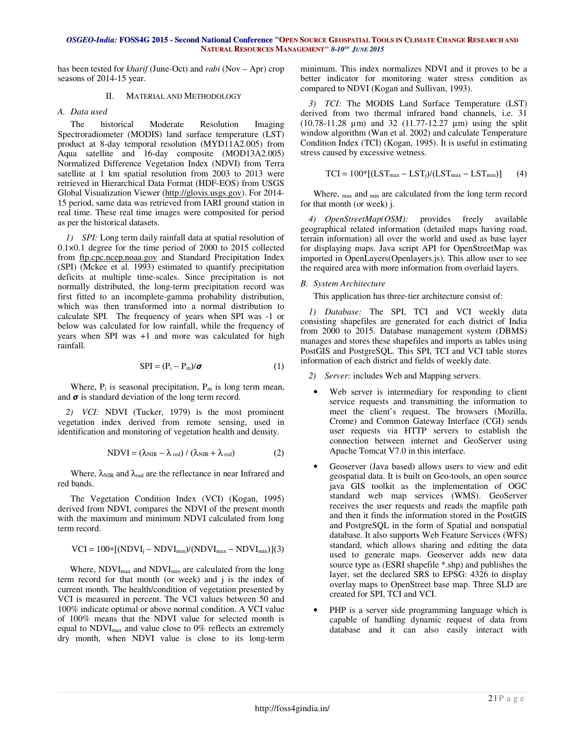## OSGEO-India: FOSS4G 2015 - Second National Conference "OPEN SOURCE GEOSPATIAL TOOLS IN CLIMATE CHANGE RESEARCH AND **NATURAL RESOURCES MANAGEMENT***" 8-10 TH JUNE 2015*

has been tested for *kharif* (June-Oct) and *rabi* (Nov – Apr) crop seasons of 2014-15 year.

## II. MATERIAL AND METHODOLOGY

# *A. Data used*

The historical Moderate Resolution Imaging Spectroradiometer (MODIS) land surface temperature (LST) product at 8-day temporal resolution (MYD11A2.005) from Aqua satellite and 16-day composite (MOD13A2.005) Normalized Difference Vegetation Index (NDVI) from Terra satellite at 1 km spatial resolution from 2003 to 2013 were retrieved in Hierarchical Data Format (HDF-EOS) from USGS Global Visualization Viewer (http://glovis.usgs.gov). For 2014- 15 period, same data was retrieved from IARI ground station in real time. These real time images were composited for period as per the historical datasets.

*1) SPI:* Long term daily rainfall data at spatial resolution of 0.1×0.1 degree for the time period of 2000 to 2015 collected from ftp.cpc.ncep.noaa.gov and Standard Precipitation Index (SPI) (Mckee et al. 1993) estimated to quantify precipitation deficits at multiple time-scales. Since precipitation is not normally distributed, the long-term precipitation record was first fitted to an incomplete-gamma probability distribution, which was then transformed into a normal distribution to calculate SPI. The frequency of years when SPI was -1 or below was calculated for low rainfall, while the frequency of years when SPI was +1 and more was calculated for high rainfall.

$$
SPI = (P_i - P_m)/\sigma
$$
 (1)

Where,  $P_i$  is seasonal precipitation,  $P_m$  is long term mean, and  $\sigma$  is standard deviation of the long term record.

*2) VCI:* NDVI (Tucker, 1979) is the most prominent vegetation index derived from remote sensing, used in identification and monitoring of vegetation health and density.

$$
NDVI = (\lambda_{NIR} - \lambda_{red}) / (\lambda_{NIR} + \lambda_{red})
$$
 (2)

Where,  $\lambda_{\text{NIR}}$  and  $\lambda_{\text{red}}$  are the reflectance in near Infrared and red bands.

The Vegetation Condition Index (VCI) (Kogan, 1995) derived from NDVI, compares the NDVI of the present month with the maximum and minimum NDVI calculated from long term record.

$$
VCI = 100*[(NDVI_j - NDVI_{min})/(NDVI_{max} - NDVI_{min})](3)
$$

Where,  $NDVI_{max}$  and  $NDVI_{min}$  are calculated from the long term record for that month (or week) and j is the index of current month. The health/condition of vegetation presented by VCI is measured in percent. The VCI values between 50 and 100% indicate optimal or above normal condition. A VCI value of 100% means that the NDVI value for selected month is equal to NDVImax and value close to 0% reflects an extremely dry month, when NDVI value is close to its long-term minimum. This index normalizes NDVI and it proves to be a better indicator for monitoring water stress condition as compared to NDVI (Kogan and Sullivan, 1993).

*3) TCI:* The MODIS Land Surface Temperature (LST) derived from two thermal infrared band channels, i.e. 31 (10.78-11.28 µm) and 32 (11.77-12.27 µm) using the split window algorithm (Wan et al. 2002) and calculate Temperature Condition Index (TCI) (Kogan, 1995). It is useful in estimating stress caused by excessive wetness.

$$
TCI = 100*[(LST_{max} - LST_j)/(LST_{max} - LST_{min})]
$$
 (4)

Where, max and min are calculated from the long term record for that month (or week) j.

*4) OpenStreetMap(OSM):* provides freely available geographical related information (detailed maps having road, terrain information) all over the world and used as base layer for displaying maps. Java script API for OpenStreetMap was imported in OpenLayers(Openlayers.js). This allow user to see the required area with more information from overlaid layers.

# *B. System Architecture*

This application has three-tier architecture consist of:

*1) Database:* The SPI, TCI and VCI weekly data consisting shapefiles are generated for each district of India from 2000 to 2015. Database management system (DBMS) manages and stores these shapefiles and imports as tables using PostGIS and PostgreSQL. This SPI, TCI and VCI table stores information of each district and fields of weekly date.

*2) Server:* includes Web and Mapping servers.

- Web server is intermediary for responding to client service requests and transmitting the information to meet the client's request. The browsers (Mozilla, Crome) and Common Gateway Interface (CGI) sends user requests via HTTP servers to establish the connection between internet and GeoServer using Apache Tomcat V7.0 in this interface.
- Geoserver (Java based) allows users to view and edit geospatial data. It is built on Geo-tools, an open source java GIS toolkit as the implementation of OGC standard web map services (WMS). GeoServer receives the user requests and reads the mapfile path and then it finds the information stored in the PostGIS and PostgreSQL in the form of Spatial and nonspatial database. It also supports Web Feature Services (WFS) standard, which allows sharing and editing the data used to generate maps. Geoserver adds new data source type as (ESRI shapefile \*.shp) and publishes the layer, set the declared SRS to EPSG: 4326 to display overlay maps to OpenStreet base map. Three SLD are created for SPI, TCI and VCI.
- PHP is a server side programming language which is capable of handling dynamic request of data from database and it can also easily interact with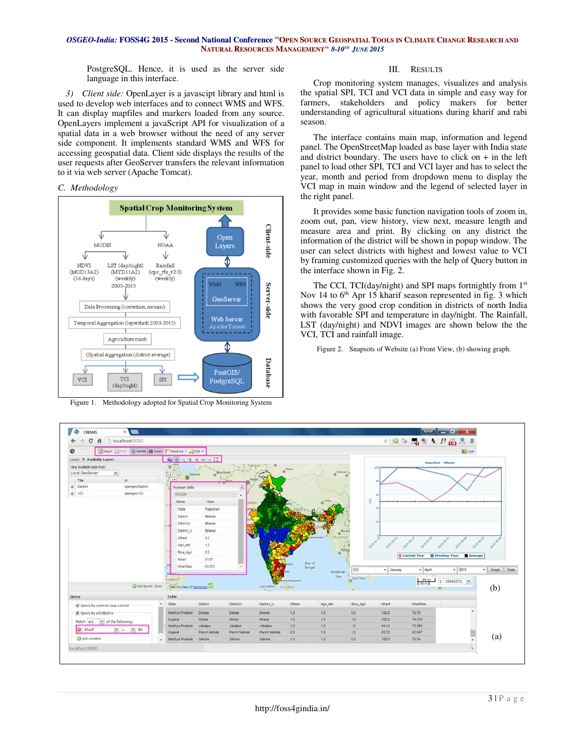### OSGEO-India: FOSS4G 2015 - Second National Conference "OPEN SOURCE GEOSPATIAL TOOLS IN CLIMATE CHANGE RESEARCH AND **NATURAL RESOURCES MANAGEMENT***" 8-10 TH JUNE 2015*

PostgreSQL. Hence, it is used as the server side language in this interface.

*3) Client side:* OpenLayer is a javascipt library and html is used to develop web interfaces and to connect WMS and WFS. It can display mapfiles and markers loaded from any source. OpenLayers implement a javaScript API for visualization of a spatial data in a web browser without the need of any server side component. It implements standard WMS and WFS for accessing geospatial data. Client side displays the results of the user requests after GeoServer transfers the relevant information to it via web server (Apache Tomcat).

## *C. Methodology*



Figure 1. Methodology adopted for Spatial Crop Monitoring System

## III. RESULTS

Crop monitoring system manages, visualizes and analysis the spatial SPI, TCI and VCI data in simple and easy way for farmers, stakeholders and policy makers for better understanding of agricultural situations during kharif and rabi season.

The interface contains main map, information and legend panel. The OpenStreetMap loaded as base layer with India state and district boundary. The users have to click on  $+$  in the left panel to load other SPI, TCI and VCI layer and has to select the year, month and period from dropdown menu to display the VCI map in main window and the legend of selected layer in the right panel.

It provides some basic function navigation tools of zoom in, zoom out, pan, view history, view next, measure length and measure area and print. By clicking on any district the information of the district will be shown in popup window. The user can select districts with highest and lowest value to VCI by framing customized queries with the help of Query button in the interface shown in Fig. 2.

The CCI, TCI(day/night) and SPI maps fortnightly from 1<sup>st</sup> Nov 14 to 6<sup>th</sup> Apr 15 kharif season represented in fig. 3 which shows the very good crop condition in districts of north India with favorable SPI and temperature in day/night. The Rainfall, LST (day/night) and NDVI images are shown below the the VCI, TCI and rainfall image.

Figure 2. Snapsots of Website (a) Front View, (b) showing graph.